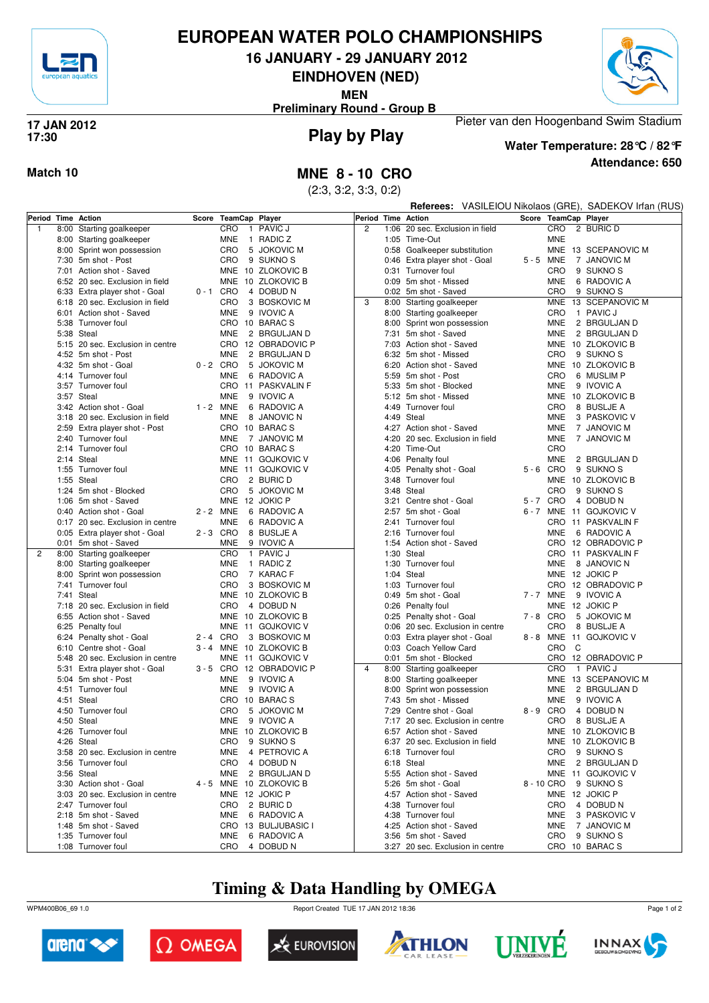

# **EUROPEAN WATER POLO CHAMPIONSHIPS**

**16 JANUARY - 29 JANUARY 2012**

**EINDHOVEN (NED)**

**MEN**



**Preliminary Round - Group B**

### **Play by Play 17 JAN 2012 17:30**



**Attendance: 650 Water Temperature: 28°C / 82°F**

Pieter van den Hoogenband Swim Stadium

**Match 10 MNE 8 - 10 CRO**

(2:3, 3:2, 3:3, 0:2)

|                |                                  |             |                |                          |                |      |                                  | Referees: VASILEIOU Nikolaos (GRE), SADEKOV Irfan (RUS) |                      |   |                         |
|----------------|----------------------------------|-------------|----------------|--------------------------|----------------|------|----------------------------------|---------------------------------------------------------|----------------------|---|-------------------------|
|                | Period Time Action               | Score       | TeamCap Player |                          | Period         |      | <b>Time Action</b>               |                                                         | Score TeamCap Player |   |                         |
| $\mathbf{1}$   | 8:00 Starting goalkeeper         |             | CRO            | 1 PAVIC J                | $\overline{2}$ | 1:06 | 20 sec. Exclusion in field       |                                                         | CRO                  |   | 2 BURIC D               |
|                | 8:00 Starting goalkeeper         |             | MNE            | 1 RADIC Z                |                |      | 1:05 Time-Out                    |                                                         | <b>MNE</b>           |   |                         |
|                | 8:00 Sprint won possession       |             | CRO            | 5 JOKOVIC M              |                |      | 0:58 Goalkeeper substitution     |                                                         |                      |   | MNE 13 SCEPANOVIC M     |
|                | 7:30 5m shot - Post              |             | CRO            | 9 SUKNO <sub>S</sub>     |                |      | 0:46 Extra player shot - Goal    |                                                         | 5-5 MNE              |   | 7 JANOVIC M             |
|                | 7:01 Action shot - Saved         |             |                | MNE 10 ZLOKOVIC B        |                |      | 0:31 Turnover foul               |                                                         | CRO                  |   | 9 SUKNO <sub>S</sub>    |
|                | 6:52 20 sec. Exclusion in field  |             |                | MNE 10 ZLOKOVIC B        |                |      | 0:09 5m shot - Missed            |                                                         | <b>MNE</b>           |   | 6 RADOVIC A             |
|                | 6:33 Extra player shot - Goal    | $0 - 1$ CRO |                | 4 DOBUD N                |                |      | 0:02 5m shot - Saved             |                                                         | CRO                  |   | 9 SUKNO <sub>S</sub>    |
|                | 6:18 20 sec. Exclusion in field  |             | CRO            | 3 BOSKOVIC M             | 3              |      | 8:00 Starting goalkeeper         |                                                         |                      |   | MNE 13 SCEPANOVIC M     |
|                | 6:01 Action shot - Saved         |             | MNE            | 9 IVOVIC A               |                |      | 8:00 Starting goalkeeper         |                                                         | CRO                  |   | 1 PAVIC J               |
|                | 5:38 Turnover foul               |             | CRO 10 BARACS  |                          |                |      | 8:00 Sprint won possession       |                                                         | <b>MNE</b>           |   | 2 BRGULJAN D            |
|                | 5:38 Steal                       |             | <b>MNE</b>     | 2 BRGULJAN D             |                |      | 7:31 5m shot - Saved             |                                                         | <b>MNE</b>           |   | 2 BRGULJAN D            |
|                | 5:15 20 sec. Exclusion in centre |             |                | CRO 12 OBRADOVIC P       |                |      | 7:03 Action shot - Saved         |                                                         |                      |   | MNE 10 ZLOKOVIC B       |
|                | 4:52 5m shot - Post              |             | <b>MNE</b>     | 2 BRGULJAN D             |                |      | 6:32 5m shot - Missed            |                                                         | CRO                  |   | 9 SUKNO <sub>S</sub>    |
|                | 4:32 5m shot - Goal              | $0 - 2$ CRO |                | 5 JOKOVIC M              |                |      | 6:20 Action shot - Saved         |                                                         |                      |   | MNE 10 ZLOKOVIC B       |
|                | 4:14 Turnover foul               |             | <b>MNE</b>     | 6 RADOVIC A              |                |      | 5:59 5m shot - Post              |                                                         | CRO                  |   | 6 MUSLIM P              |
|                | 3:57 Turnover foul               |             |                | CRO 11 PASKVALIN F       |                |      | 5:33 5m shot - Blocked           |                                                         | MNE                  |   | 9 IVOVIC A              |
|                | 3:57 Steal                       |             | <b>MNE</b>     | 9 IVOVIC A               |                |      | 5:12 5m shot - Missed            |                                                         |                      |   | MNE 10 ZLOKOVIC B       |
|                | 3:42 Action shot - Goal          | 1 - 2 MNE   |                | 6 RADOVIC A              |                |      | 4:49 Turnover foul               |                                                         | CRO                  |   | 8 BUSLJE A              |
|                | 3:18 20 sec. Exclusion in field  |             | <b>MNE</b>     | 8 JANOVIC N              |                |      | 4:49 Steal                       |                                                         | <b>MNE</b>           |   | 3 PASKOVIC V            |
|                | 2:59 Extra player shot - Post    |             | CRO 10 BARACS  |                          |                |      | 4:27 Action shot - Saved         |                                                         | <b>MNE</b>           |   | 7 JANOVIC M             |
|                | 2:40 Turnover foul               |             | <b>MNE</b>     | 7 JANOVIC M              |                |      | 4:20 20 sec. Exclusion in field  |                                                         | <b>MNE</b>           |   | 7 JANOVIC M             |
|                | 2:14 Turnover foul               |             | CRO 10 BARACS  |                          |                |      | 4:20 Time-Out                    |                                                         | CRO                  |   |                         |
|                | 2:14 Steal                       |             |                | MNE 11 GOJKOVIC V        |                |      | 4:06 Penalty foul                |                                                         | MNE                  |   | 2 BRGULJAN D            |
|                | 1:55 Turnover foul               |             |                | MNE 11 GOJKOVIC V        |                |      | 4:05 Penalty shot - Goal         |                                                         | $5 - 6$ CRO          |   | 9 SUKNO <sub>S</sub>    |
|                | 1:55 Steal                       |             | CRO            | 2 BURIC D                |                |      | 3:48 Turnover foul               |                                                         |                      |   | MNE 10 ZLOKOVIC B       |
|                | 1:24 5m shot - Blocked           |             | <b>CRO</b>     | 5 JOKOVIC M              |                |      | 3:48 Steal                       |                                                         | <b>CRO</b>           |   | 9 SUKNO <sub>S</sub>    |
|                | 1:06 5m shot - Saved             |             | MNE 12 JOKIC P |                          |                |      | 3:21 Centre shot - Goal          |                                                         | 5-7 CRO              |   | 4 DOBUD N               |
|                | 0:40 Action shot - Goal          | 2 - 2 MNE   |                | 6 RADOVIC A              |                |      | 2:57 5m shot - Goal              |                                                         |                      |   | 6 - 7 MNE 11 GOJKOVIC V |
|                | 0:17 20 sec. Exclusion in centre |             | MNE            | 6 RADOVIC A              |                |      | 2:41 Turnover foul               |                                                         |                      |   | CRO 11 PASKVALIN F      |
|                | 0:05 Extra player shot - Goal    | $2 - 3$ CRO |                | 8 BUSLJE A               |                | 2:16 | Turnover foul                    |                                                         | MNE                  |   | 6 RADOVIC A             |
|                | 0:01 5m shot - Saved             |             | <b>MNE</b>     | 9 IVOVIC A               |                | 1:54 | Action shot - Saved              |                                                         |                      |   | CRO 12 OBRADOVIC P      |
| $\overline{2}$ | 8:00 Starting goalkeeper         |             | CRO            | 1 PAVIC J                |                | 1:30 | Steal                            |                                                         |                      |   | CRO 11 PASKVALIN F      |
|                | 8:00 Starting goalkeeper         |             | <b>MNE</b>     | 1 RADIC Z                |                |      | 1:30 Turnover foul               |                                                         | <b>MNE</b>           |   | 8 JANOVIC N             |
|                | 8:00 Sprint won possession       |             | CRO            | 7 KARAC F                |                |      | 1:04 Steal                       |                                                         |                      |   | MNE 12 JOKIC P          |
|                | 7:41 Turnover foul               |             | CRO            | 3 BOSKOVIC M             |                |      | 1:03 Turnover foul               |                                                         |                      |   | CRO 12 OBRADOVIC P      |
|                | 7:41 Steal                       |             |                | MNE 10 ZLOKOVIC B        |                |      | 0:49 5m shot - Goal              |                                                         | 7 - 7 MNE            |   | 9 IVOVIC A              |
|                | 7:18 20 sec. Exclusion in field  |             | CRO            | 4 DOBUD N                |                |      | 0:26 Penalty foul                |                                                         |                      |   | MNE 12 JOKIC P          |
|                | 6:55 Action shot - Saved         |             |                | MNE 10 ZLOKOVIC B        |                |      | 0:25 Penalty shot - Goal         |                                                         | 7-8 CRO              |   | 5 JOKOVIC M             |
|                | 6:25 Penalty foul                |             |                | MNE 11 GOJKOVIC V        |                |      | 0:06 20 sec. Exclusion in centre |                                                         | <b>CRO</b>           |   | 8 BUSLJE A              |
|                | 6:24 Penalty shot - Goal         | 2-4 CRO     |                | 3 BOSKOVIC M             |                |      | 0:03 Extra player shot - Goal    |                                                         |                      |   | 8 - 8 MNE 11 GOJKOVIC V |
|                | 6:10 Centre shot - Goal          |             |                | 3 - 4 MNE 10 ZLOKOVIC B  |                |      | 0:03 Coach Yellow Card           |                                                         | <b>CRO</b>           | C |                         |
|                | 5:48 20 sec. Exclusion in centre |             |                | MNE 11 GOJKOVIC V        |                |      | 0:01 5m shot - Blocked           |                                                         |                      |   | CRO 12 OBRADOVIC P      |
|                | 5:31 Extra player shot - Goal    |             |                | 3 - 5 CRO 12 OBRADOVIC P | $\overline{4}$ |      | 8:00 Starting goalkeeper         |                                                         | CRO                  |   | $1$ PAVIC J             |
|                | 5:04 5m shot - Post              |             | MNE            | 9 IVOVIC A               |                |      | 8:00 Starting goalkeeper         |                                                         |                      |   | MNE 13 SCEPANOVIC M     |
|                | 4:51 Turnover foul               |             | <b>MNE</b>     | 9 IVOVIC A               |                |      | 8:00 Sprint won possession       |                                                         | MNE                  |   | 2 BRGULJAN D            |
|                | 4:51 Steal                       |             | CRO 10 BARACS  |                          |                |      | 7:43 5m shot - Missed            |                                                         | <b>MNE</b>           |   | 9 IVOVIC A              |
|                | 4:50 Turnover foul               |             | CRO            | 5 JOKOVIC M              |                | 7:29 | Centre shot - Goal               |                                                         | 8-9 CRO              |   | 4 DOBUD N               |
|                | 4:50 Steal                       |             | MNE            | 9 IVOVIC A               |                |      | 7:17 20 sec. Exclusion in centre |                                                         | CRO                  |   | 8 BUSLJE A              |
|                | 4:26 Turnover foul               |             |                | MNE 10 ZLOKOVIC B        |                |      | 6:57 Action shot - Saved         |                                                         |                      |   | MNE 10 ZLOKOVIC B       |
|                | 4:26 Steal                       |             |                | CRO 9 SUKNOS             |                |      | 6:37 20 sec. Exclusion in field  |                                                         |                      |   | MNE 10 ZLOKOVIC B       |
|                | 3:58 20 sec. Exclusion in centre |             |                | MNE 4 PETROVIC A         |                |      | 6:18 Turnover foul               |                                                         |                      |   | CRO 9 SUKNOS            |
|                | 3:56 Turnover foul               |             |                | CRO 4 DOBUD N            |                |      | 6:18 Steal                       |                                                         |                      |   | MNE 2 BRGULJAN D        |
|                | 3:56 Steal                       |             |                | MNE 2 BRGULJAN D         |                |      | 5:55 Action shot - Saved         |                                                         |                      |   | MNE 11 GOJKOVIC V       |
|                | 3:30 Action shot - Goal          |             |                | 4 - 5 MNE 10 ZLOKOVIC B  |                |      | 5:26 5m shot - Goal              |                                                         |                      |   | 8 - 10 CRO 9 SUKNOS     |
|                | 3:03 20 sec. Exclusion in centre |             | MNE 12 JOKIC P |                          |                |      | 4:57 Action shot - Saved         |                                                         |                      |   | MNE 12 JOKIC P          |
|                | 2:47 Turnover foul               |             | CRO 2 BURIC D  |                          |                |      | 4:38 Turnover foul               |                                                         |                      |   | CRO 4 DOBUD N           |
|                | 2:18 5m shot - Saved             |             |                | MNE 6 RADOVIC A          |                |      | 4:38 Turnover foul               |                                                         |                      |   | MNE 3 PASKOVIC V        |
|                | 1:48 5m shot - Saved             |             |                | CRO 13 BULJUBASIC I      |                |      | 4:25 Action shot - Saved         |                                                         |                      |   | MNE 7 JANOVIC M         |
|                | 1:35 Turnover foul               |             |                | MNE 6 RADOVIC A          |                |      | 3:56 5m shot - Saved             |                                                         |                      |   | CRO 9 SUKNOS            |
|                | 1:08 Turnover foul               |             |                | CRO 4 DOBUD N            |                |      | 3:27 20 sec. Exclusion in centre |                                                         |                      |   | CRO 10 BARACS           |

# **Timing & Data Handling by OMEGA**

WPM400B06\_69 1.0 Report Created TUE 17 JAN 2012 18:36













Page 1 of 2